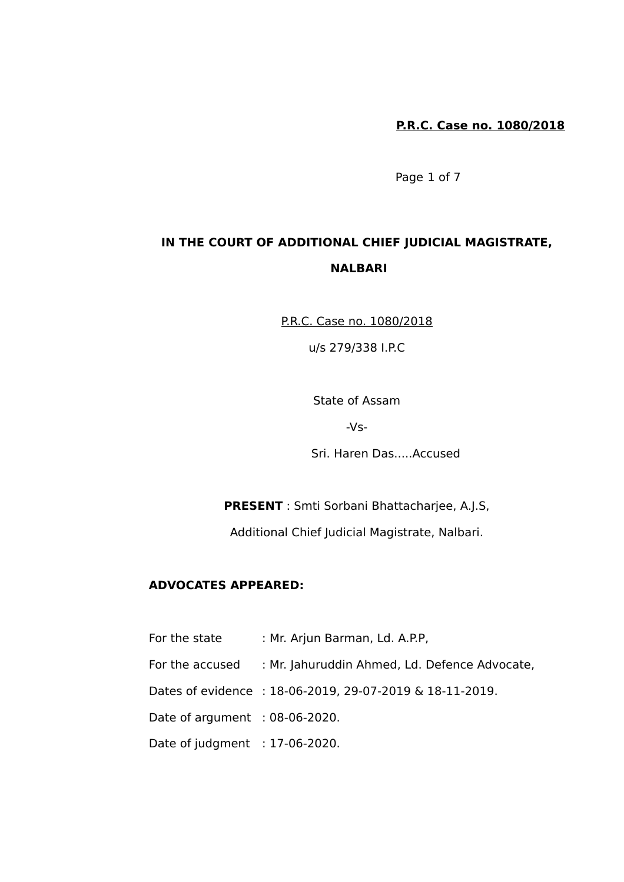Page 1 of 7

# **IN THE COURT OF ADDITIONAL CHIEF JUDICIAL MAGISTRATE, NALBARI**

P.R.C. Case no. 1080/2018

u/s 279/338 I.P.C

State of Assam

 $-Vs-$ 

Sri. Haren Das.....Accused

**PRESENT** : Smti Sorbani Bhattacharjee, A.J.S,

Additional Chief Judicial Magistrate, Nalbari.

### **ADVOCATES APPEARED:**

For the state : Mr. Arjun Barman, Ld. A.P.P.

For the accused : Mr. Jahuruddin Ahmed, Ld. Defence Advocate,

Dates of evidence : 18-06-2019, 29-07-2019 & 18-11-2019.

Date of argument : 08-06-2020.

Date of judgment : 17-06-2020.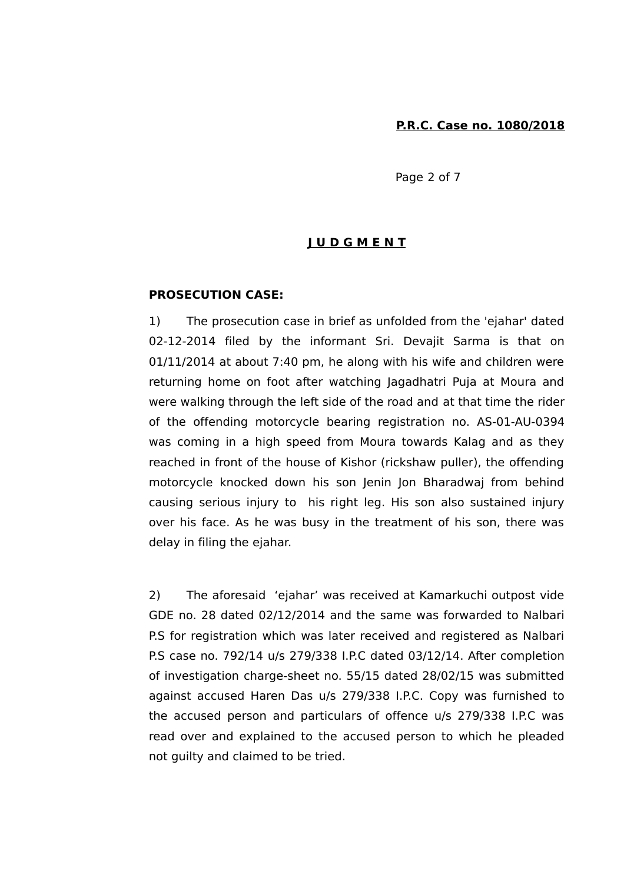Page 2 of 7

## **J U D G M E N T**

#### **PROSECUTION CASE:**

1) The prosecution case in brief as unfolded from the 'ejahar' dated 02-12-2014 filed by the informant Sri. Devajit Sarma is that on 01/11/2014 at about 7:40 pm, he along with his wife and children were returning home on foot after watching Jagadhatri Puja at Moura and were walking through the left side of the road and at that time the rider of the offending motorcycle bearing registration no. AS-01-AU-0394 was coming in a high speed from Moura towards Kalag and as they reached in front of the house of Kishor (rickshaw puller), the offending motorcycle knocked down his son Jenin Jon Bharadwaj from behind causing serious injury to his right leg. His son also sustained injury over his face. As he was busy in the treatment of his son, there was delay in filing the ejahar.

2) The aforesaid 'ejahar' was received at Kamarkuchi outpost vide GDE no. 28 dated 02/12/2014 and the same was forwarded to Nalbari P.S for registration which was later received and registered as Nalbari P.S case no. 792/14 u/s 279/338 I.P.C dated 03/12/14. After completion of investigation charge-sheet no. 55/15 dated 28/02/15 was submitted against accused Haren Das u/s 279/338 I.P.C. Copy was furnished to the accused person and particulars of offence u/s 279/338 I.P.C was read over and explained to the accused person to which he pleaded not guilty and claimed to be tried.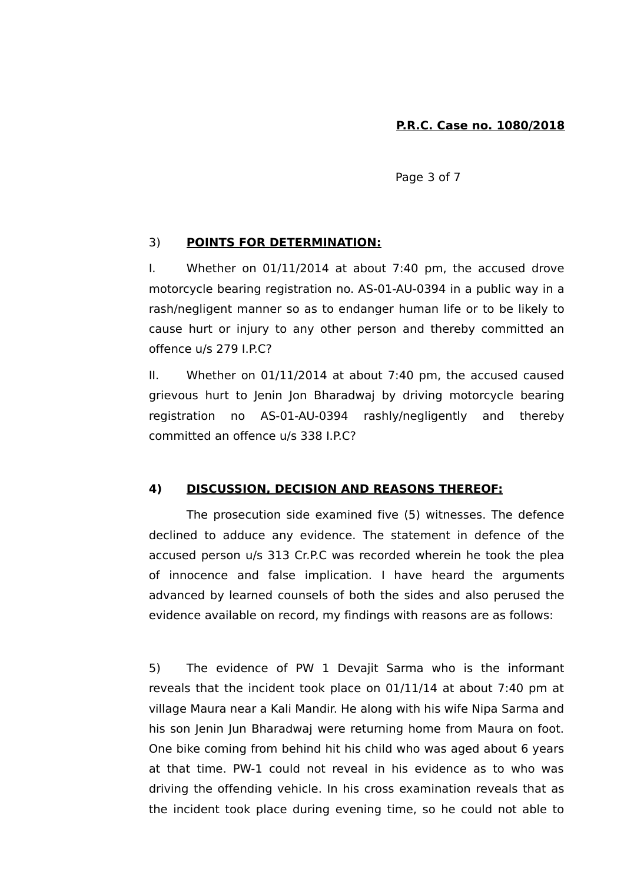Page 3 of 7

### 3) **POINTS FOR DETERMINATION:**

I. Whether on 01/11/2014 at about 7:40 pm, the accused drove motorcycle bearing registration no. AS-01-AU-0394 in a public way in a rash/negligent manner so as to endanger human life or to be likely to cause hurt or injury to any other person and thereby committed an offence u/s 279 I.P.C?

II. Whether on 01/11/2014 at about 7:40 pm, the accused caused grievous hurt to Jenin Jon Bharadwaj by driving motorcycle bearing registration no AS-01-AU-0394 rashly/negligently and thereby committed an offence u/s 338 I.P.C?

## **4) DISCUSSION, DECISION AND REASONS THEREOF:**

The prosecution side examined five (5) witnesses. The defence declined to adduce any evidence. The statement in defence of the accused person u/s 313 Cr.P.C was recorded wherein he took the plea of innocence and false implication. I have heard the arguments advanced by learned counsels of both the sides and also perused the evidence available on record, my findings with reasons are as follows:

5) The evidence of PW 1 Devajit Sarma who is the informant reveals that the incident took place on 01/11/14 at about 7:40 pm at village Maura near a Kali Mandir. He along with his wife Nipa Sarma and his son Jenin Jun Bharadwaj were returning home from Maura on foot. One bike coming from behind hit his child who was aged about 6 years at that time. PW-1 could not reveal in his evidence as to who was driving the offending vehicle. In his cross examination reveals that as the incident took place during evening time, so he could not able to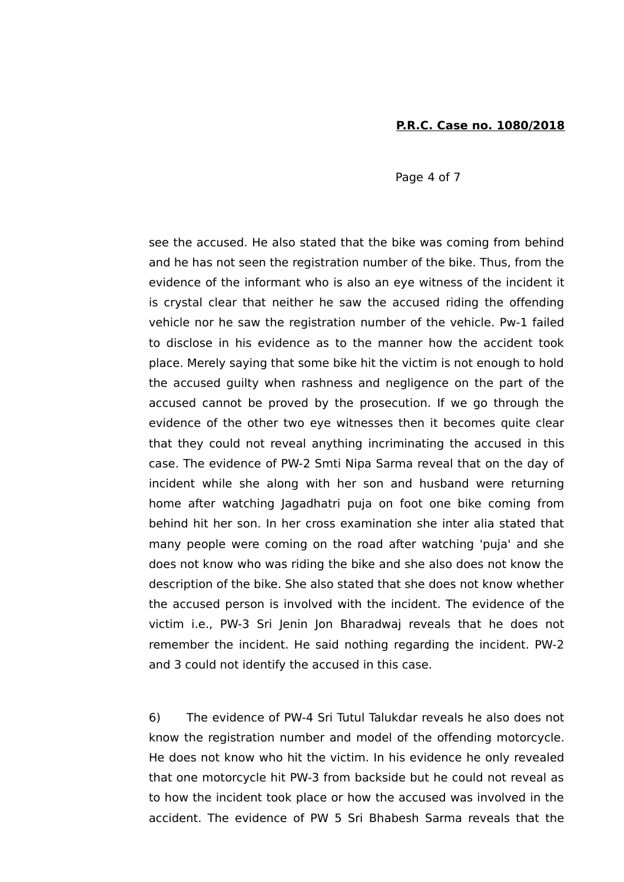Page 4 of 7

see the accused. He also stated that the bike was coming from behind and he has not seen the registration number of the bike. Thus, from the evidence of the informant who is also an eye witness of the incident it is crystal clear that neither he saw the accused riding the offending vehicle nor he saw the registration number of the vehicle. Pw-1 failed to disclose in his evidence as to the manner how the accident took place. Merely saying that some bike hit the victim is not enough to hold the accused guilty when rashness and negligence on the part of the accused cannot be proved by the prosecution. If we go through the evidence of the other two eye witnesses then it becomes quite clear that they could not reveal anything incriminating the accused in this case. The evidence of PW-2 Smti Nipa Sarma reveal that on the day of incident while she along with her son and husband were returning home after watching Jagadhatri puja on foot one bike coming from behind hit her son. In her cross examination she inter alia stated that many people were coming on the road after watching 'puja' and she does not know who was riding the bike and she also does not know the description of the bike. She also stated that she does not know whether the accused person is involved with the incident. The evidence of the victim i.e., PW-3 Sri Jenin Jon Bharadwaj reveals that he does not remember the incident. He said nothing regarding the incident. PW-2 and 3 could not identify the accused in this case.

6) The evidence of PW-4 Sri Tutul Talukdar reveals he also does not know the registration number and model of the offending motorcycle. He does not know who hit the victim. In his evidence he only revealed that one motorcycle hit PW-3 from backside but he could not reveal as to how the incident took place or how the accused was involved in the accident. The evidence of PW 5 Sri Bhabesh Sarma reveals that the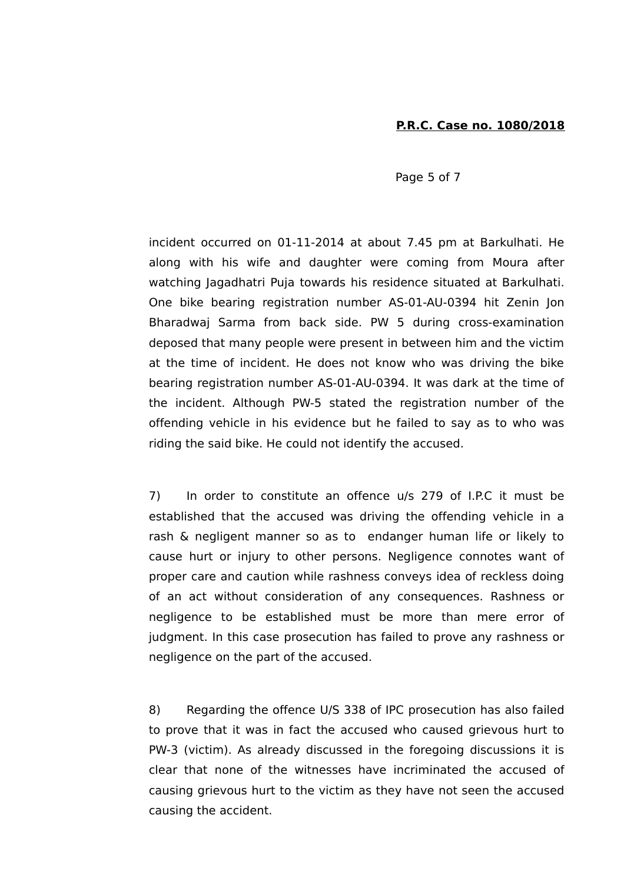Page 5 of 7

incident occurred on 01-11-2014 at about 7.45 pm at Barkulhati. He along with his wife and daughter were coming from Moura after watching Jagadhatri Puja towards his residence situated at Barkulhati. One bike bearing registration number AS-01-AU-0394 hit Zenin Jon Bharadwaj Sarma from back side. PW 5 during cross-examination deposed that many people were present in between him and the victim at the time of incident. He does not know who was driving the bike bearing registration number AS-01-AU-0394. It was dark at the time of the incident. Although PW-5 stated the registration number of the offending vehicle in his evidence but he failed to say as to who was riding the said bike. He could not identify the accused.

7) In order to constitute an offence u/s 279 of I.P.C it must be established that the accused was driving the offending vehicle in a rash & negligent manner so as to endanger human life or likely to cause hurt or injury to other persons. Negligence connotes want of proper care and caution while rashness conveys idea of reckless doing of an act without consideration of any consequences. Rashness or negligence to be established must be more than mere error of judgment. In this case prosecution has failed to prove any rashness or negligence on the part of the accused.

8) Regarding the offence U/S 338 of IPC prosecution has also failed to prove that it was in fact the accused who caused grievous hurt to PW-3 (victim). As already discussed in the foregoing discussions it is clear that none of the witnesses have incriminated the accused of causing grievous hurt to the victim as they have not seen the accused causing the accident.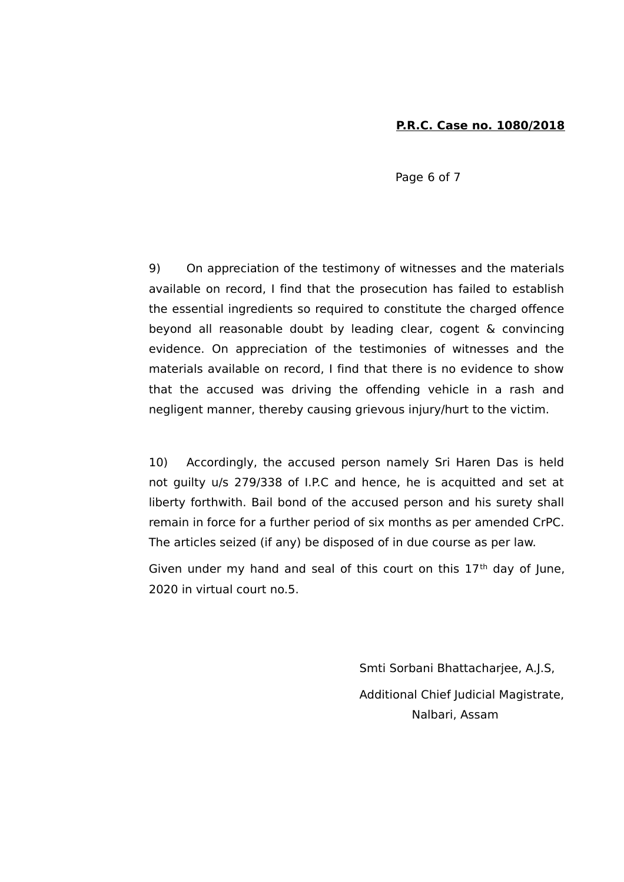Page 6 of 7

9) On appreciation of the testimony of witnesses and the materials available on record, I find that the prosecution has failed to establish the essential ingredients so required to constitute the charged offence beyond all reasonable doubt by leading clear, cogent & convincing evidence. On appreciation of the testimonies of witnesses and the materials available on record, I find that there is no evidence to show that the accused was driving the offending vehicle in a rash and negligent manner, thereby causing grievous injury/hurt to the victim.

10) Accordingly, the accused person namely Sri Haren Das is held not guilty u/s 279/338 of I.P.C and hence, he is acquitted and set at liberty forthwith. Bail bond of the accused person and his surety shall remain in force for a further period of six months as per amended CrPC. The articles seized (if any) be disposed of in due course as per law.

Given under my hand and seal of this court on this  $17<sup>th</sup>$  day of June, 2020 in virtual court no.5.

> Smti Sorbani Bhattacharjee, A.J.S, Additional Chief Judicial Magistrate, Nalbari, Assam